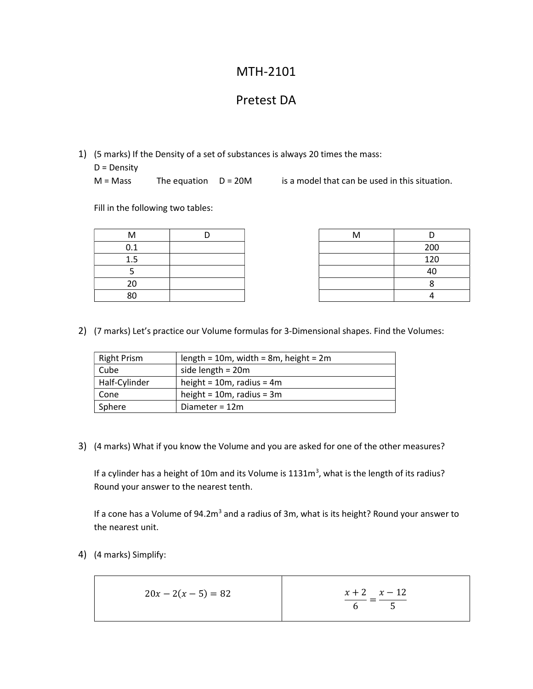## MTH-2101

## Pretest DA

1) (5 marks) If the Density of a set of substances is always 20 times the mass:

D = Density

 $M = Mass$  The equation  $D = 20M$  is a model that can be used in this situation.

Fill in the following two tables:

| M   |  | M |     |
|-----|--|---|-----|
| 0.1 |  |   | 200 |
| 1.5 |  |   | 120 |
|     |  |   | 40  |
| 20  |  |   |     |
| 80  |  |   |     |

| Vl     |  | ΙVΙ |     |
|--------|--|-----|-----|
| . ـ    |  |     | 200 |
| .      |  |     | 120 |
| -<br>┘ |  |     | 40  |
| 20     |  |     |     |
| sU     |  |     |     |

2) (7 marks) Let's practice our Volume formulas for 3-Dimensional shapes. Find the Volumes:

| <b>Right Prism</b> | length = $10m$ , width = $8m$ , height = $2m$ |  |
|--------------------|-----------------------------------------------|--|
| Cube               | side length = $20m$                           |  |
| Half-Cylinder      | height = $10m$ , radius = $4m$                |  |
| Cone               | height = $10m$ , radius = $3m$                |  |
| Sphere             | Diameter = $12m$                              |  |

3) (4 marks) What if you know the Volume and you are asked for one of the other measures?

If a cylinder has a height of 10m and its Volume is  $1131m<sup>3</sup>$ , what is the length of its radius? Round your answer to the nearest tenth.

If a cone has a Volume of 94.2m<sup>3</sup> and a radius of 3m, what is its height? Round your answer to the nearest unit.

4) (4 marks) Simplify:

$$
20x - 2(x - 5) = 82
$$
\n
$$
\frac{x + 2}{6} = \frac{x - 12}{5}
$$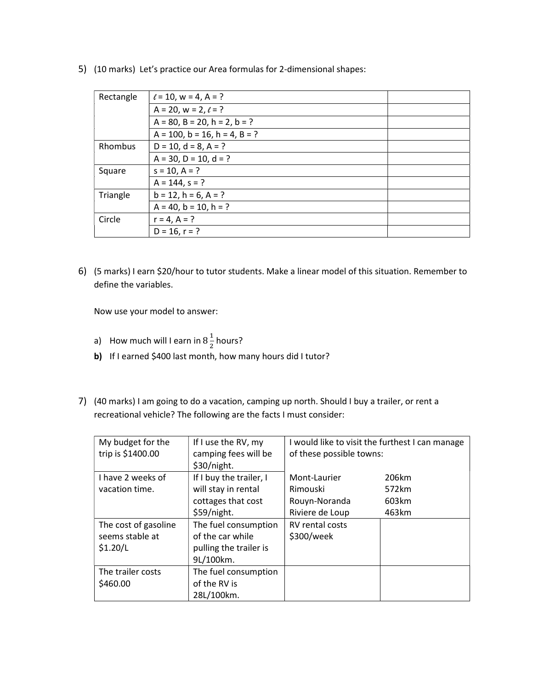| Rectangle | $\ell$ = 10, w = 4, A = ?                |
|-----------|------------------------------------------|
|           | $A = 20$ , $w = 2$ , $\ell = ?$          |
|           | $A = 80$ , $B = 20$ , $h = 2$ , $b = ?$  |
|           | $A = 100$ , $b = 16$ , $h = 4$ , $B = ?$ |
| Rhombus   | $D = 10$ , $d = 8$ , $A = ?$             |
|           | $A = 30$ , $D = 10$ , $d = ?$            |
| Square    | $s = 10, A = ?$                          |
|           | $A = 144$ , $s = ?$                      |
| Triangle  | $b = 12$ , $h = 6$ , $A = ?$             |
|           | $A = 40$ , $b = 10$ , $h = ?$            |
| Circle    | $r = 4, A = ?$                           |
|           | $D = 16, r = ?$                          |
|           |                                          |

5) (10 marks) Let's practice our Area formulas for 2-dimensional shapes:

6) (5 marks) I earn \$20/hour to tutor students. Make a linear model of this situation. Remember to define the variables.

Now use your model to answer:

- a) How much will I earn in  $8\frac{1}{2}$  $\frac{1}{2}$  hours?
- b) If I earned \$400 last month, how many hours did I tutor?
- 7) (40 marks) I am going to do a vacation, camping up north. Should I buy a trailer, or rent a recreational vehicle? The following are the facts I must consider:

| My budget for the<br>trip is \$1400.00 | If I use the RV, my<br>camping fees will be<br>\$30/night. | I would like to visit the furthest I can manage<br>of these possible towns: |       |
|----------------------------------------|------------------------------------------------------------|-----------------------------------------------------------------------------|-------|
| I have 2 weeks of                      | If I buy the trailer, I                                    | Mont-Laurier                                                                | 206km |
| vacation time.                         | will stay in rental                                        | Rimouski                                                                    | 572km |
|                                        | cottages that cost                                         | Rouyn-Noranda                                                               | 603km |
|                                        | \$59/night.                                                | Riviere de Loup                                                             | 463km |
| The cost of gasoline                   | The fuel consumption                                       | <b>RV</b> rental costs                                                      |       |
| seems stable at                        | of the car while                                           | \$300/week                                                                  |       |
| \$1.20/L                               | pulling the trailer is                                     |                                                                             |       |
|                                        | 9L/100km.                                                  |                                                                             |       |
| The trailer costs                      | The fuel consumption                                       |                                                                             |       |
| \$460.00                               | of the RV is                                               |                                                                             |       |
|                                        | 28L/100km.                                                 |                                                                             |       |